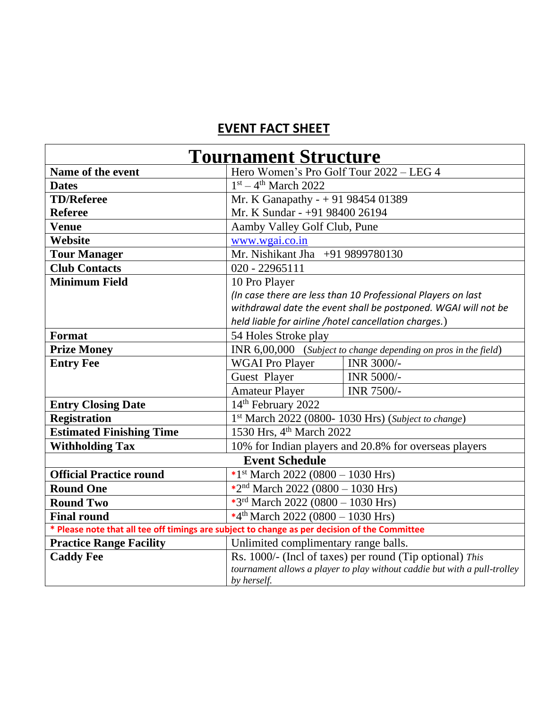## **EVENT FACT SHEET**

| <b>Tournament Structure</b>                                                                   |                                                                           |            |  |
|-----------------------------------------------------------------------------------------------|---------------------------------------------------------------------------|------------|--|
| Name of the event                                                                             | Hero Women's Pro Golf Tour 2022 - LEG 4                                   |            |  |
| <b>Dates</b>                                                                                  | $1st - 4th March 2022$                                                    |            |  |
| <b>TD/Referee</b>                                                                             | Mr. K Ganapathy - + 91 98454 01389                                        |            |  |
| <b>Referee</b>                                                                                | Mr. K Sundar - +91 98400 26194                                            |            |  |
| <b>Venue</b>                                                                                  | Aamby Valley Golf Club, Pune                                              |            |  |
| Website                                                                                       | www.wgai.co.in                                                            |            |  |
| <b>Tour Manager</b>                                                                           | Mr. Nishikant Jha +91 9899780130                                          |            |  |
| <b>Club Contacts</b>                                                                          | 020 - 22965111                                                            |            |  |
| <b>Minimum Field</b>                                                                          | 10 Pro Player                                                             |            |  |
|                                                                                               | (In case there are less than 10 Professional Players on last              |            |  |
|                                                                                               | withdrawal date the event shall be postponed. WGAI will not be            |            |  |
|                                                                                               | held liable for airline /hotel cancellation charges.)                     |            |  |
| Format                                                                                        | 54 Holes Stroke play                                                      |            |  |
| <b>Prize Money</b>                                                                            | INR 6,00,000 (Subject to change depending on pros in the field)           |            |  |
| <b>Entry Fee</b>                                                                              | <b>WGAI Pro Player</b>                                                    | INR 3000/- |  |
|                                                                                               | Guest Player                                                              | INR 5000/- |  |
|                                                                                               | <b>Amateur Player</b>                                                     | INR 7500/- |  |
| <b>Entry Closing Date</b>                                                                     | 14th February 2022                                                        |            |  |
| <b>Registration</b>                                                                           | 1st March 2022 (0800- 1030 Hrs) (Subject to change)                       |            |  |
| <b>Estimated Finishing Time</b>                                                               | 1530 Hrs, 4 <sup>th</sup> March 2022                                      |            |  |
| <b>Withholding Tax</b>                                                                        | 10% for Indian players and 20.8% for overseas players                     |            |  |
| <b>Event Schedule</b>                                                                         |                                                                           |            |  |
| <b>Official Practice round</b>                                                                | *1 <sup>st</sup> March 2022 (0800 – 1030 Hrs)                             |            |  |
| <b>Round One</b>                                                                              | *2 <sup>nd</sup> March 2022 (0800 - 1030 Hrs)                             |            |  |
| <b>Round Two</b>                                                                              | *3rd March 2022 (0800 - 1030 Hrs)                                         |            |  |
| <b>Final round</b>                                                                            | *4 <sup>th</sup> March 2022 (0800 - 1030 Hrs)                             |            |  |
| * Please note that all tee off timings are subject to change as per decision of the Committee |                                                                           |            |  |
| <b>Practice Range Facility</b>                                                                | Unlimited complimentary range balls.                                      |            |  |
| <b>Caddy Fee</b>                                                                              | Rs. 1000/- (Incl of taxes) per round (Tip optional) This                  |            |  |
|                                                                                               | tournament allows a player to play without caddie but with a pull-trolley |            |  |
|                                                                                               | by herself.                                                               |            |  |